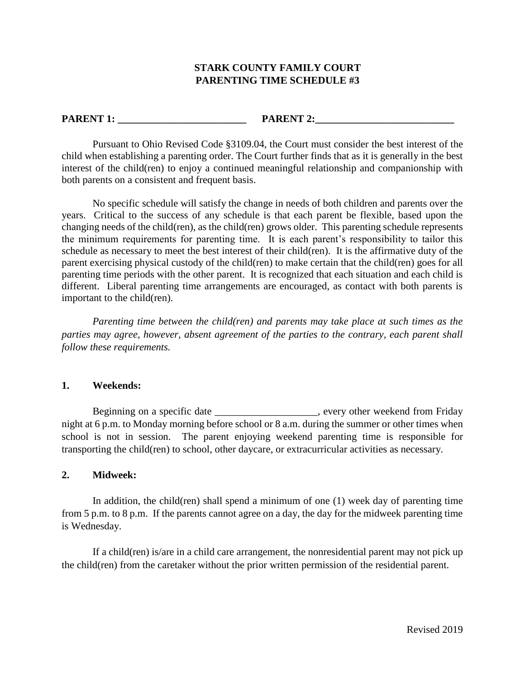# **STARK COUNTY FAMILY COURT PARENTING TIME SCHEDULE #3**

### **PARENT 1: PARENT 2:**

Pursuant to Ohio Revised Code §3109.04, the Court must consider the best interest of the child when establishing a parenting order. The Court further finds that as it is generally in the best interest of the child(ren) to enjoy a continued meaningful relationship and companionship with both parents on a consistent and frequent basis.

No specific schedule will satisfy the change in needs of both children and parents over the years. Critical to the success of any schedule is that each parent be flexible, based upon the changing needs of the child(ren), as the child(ren) grows older. This parenting schedule represents the minimum requirements for parenting time. It is each parent's responsibility to tailor this schedule as necessary to meet the best interest of their child(ren). It is the affirmative duty of the parent exercising physical custody of the child(ren) to make certain that the child(ren) goes for all parenting time periods with the other parent. It is recognized that each situation and each child is different. Liberal parenting time arrangements are encouraged, as contact with both parents is important to the child(ren).

*Parenting time between the child(ren) and parents may take place at such times as the parties may agree, however, absent agreement of the parties to the contrary, each parent shall follow these requirements.* 

### **1. Weekends:**

Beginning on a specific date \_\_\_\_\_\_\_\_\_\_\_\_\_\_\_\_\_\_\_, every other weekend from Friday night at 6 p.m. to Monday morning before school or 8 a.m. during the summer or other times when school is not in session. The parent enjoying weekend parenting time is responsible for transporting the child(ren) to school, other daycare, or extracurricular activities as necessary.

### **2. Midweek:**

In addition, the child(ren) shall spend a minimum of one (1) week day of parenting time from 5 p.m. to 8 p.m. If the parents cannot agree on a day, the day for the midweek parenting time is Wednesday.

If a child(ren) is/are in a child care arrangement, the nonresidential parent may not pick up the child(ren) from the caretaker without the prior written permission of the residential parent.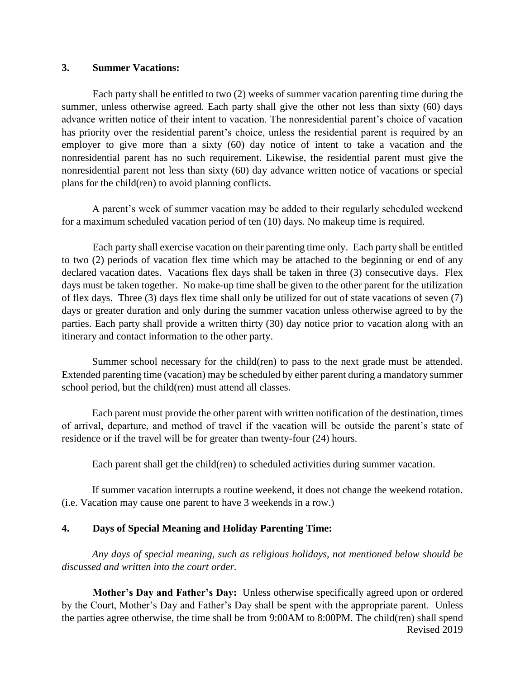### **3. Summer Vacations:**

Each party shall be entitled to two (2) weeks of summer vacation parenting time during the summer, unless otherwise agreed. Each party shall give the other not less than sixty (60) days advance written notice of their intent to vacation. The nonresidential parent's choice of vacation has priority over the residential parent's choice, unless the residential parent is required by an employer to give more than a sixty (60) day notice of intent to take a vacation and the nonresidential parent has no such requirement. Likewise, the residential parent must give the nonresidential parent not less than sixty (60) day advance written notice of vacations or special plans for the child(ren) to avoid planning conflicts.

A parent's week of summer vacation may be added to their regularly scheduled weekend for a maximum scheduled vacation period of ten (10) days. No makeup time is required.

Each party shall exercise vacation on their parenting time only. Each party shall be entitled to two (2) periods of vacation flex time which may be attached to the beginning or end of any declared vacation dates. Vacations flex days shall be taken in three (3) consecutive days. Flex days must be taken together. No make-up time shall be given to the other parent for the utilization of flex days. Three (3) days flex time shall only be utilized for out of state vacations of seven (7) days or greater duration and only during the summer vacation unless otherwise agreed to by the parties. Each party shall provide a written thirty (30) day notice prior to vacation along with an itinerary and contact information to the other party.

Summer school necessary for the child(ren) to pass to the next grade must be attended. Extended parenting time (vacation) may be scheduled by either parent during a mandatory summer school period, but the child(ren) must attend all classes.

Each parent must provide the other parent with written notification of the destination, times of arrival, departure, and method of travel if the vacation will be outside the parent's state of residence or if the travel will be for greater than twenty-four (24) hours.

Each parent shall get the child(ren) to scheduled activities during summer vacation.

If summer vacation interrupts a routine weekend, it does not change the weekend rotation. (i.e. Vacation may cause one parent to have 3 weekends in a row.)

# **4. Days of Special Meaning and Holiday Parenting Time:**

*Any days of special meaning, such as religious holidays, not mentioned below should be discussed and written into the court order.* 

Revised 2019 **Mother's Day and Father's Day:** Unless otherwise specifically agreed upon or ordered by the Court, Mother's Day and Father's Day shall be spent with the appropriate parent. Unless the parties agree otherwise, the time shall be from 9:00AM to 8:00PM. The child(ren) shall spend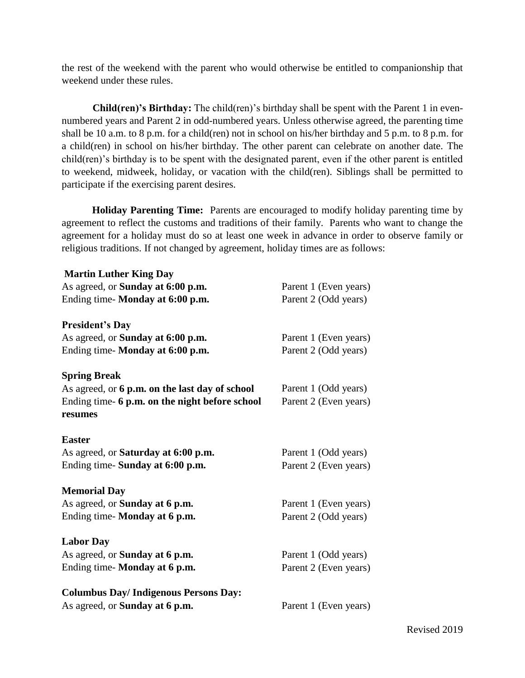the rest of the weekend with the parent who would otherwise be entitled to companionship that weekend under these rules.

**Child(ren)'s Birthday:** The child(ren)'s birthday shall be spent with the Parent 1 in evennumbered years and Parent 2 in odd-numbered years. Unless otherwise agreed, the parenting time shall be 10 a.m. to 8 p.m. for a child(ren) not in school on his/her birthday and 5 p.m. to 8 p.m. for a child(ren) in school on his/her birthday. The other parent can celebrate on another date. The child(ren)'s birthday is to be spent with the designated parent, even if the other parent is entitled to weekend, midweek, holiday, or vacation with the child(ren). Siblings shall be permitted to participate if the exercising parent desires.

**Holiday Parenting Time:** Parents are encouraged to modify holiday parenting time by agreement to reflect the customs and traditions of their family. Parents who want to change the agreement for a holiday must do so at least one week in advance in order to observe family or religious traditions. If not changed by agreement, holiday times are as follows:

| <b>Martin Luther King Day</b>                  |                       |
|------------------------------------------------|-----------------------|
| As agreed, or <b>Sunday at 6:00 p.m.</b>       | Parent 1 (Even years) |
| Ending time- Monday at 6:00 p.m.               | Parent 2 (Odd years)  |
| <b>President's Day</b>                         |                       |
| As agreed, or Sunday at 6:00 p.m.              | Parent 1 (Even years) |
| Ending time-Monday at 6:00 p.m.                | Parent 2 (Odd years)  |
| <b>Spring Break</b>                            |                       |
| As agreed, or 6 p.m. on the last day of school | Parent 1 (Odd years)  |
| Ending time- 6 p.m. on the night before school | Parent 2 (Even years) |
| resumes                                        |                       |
| <b>Easter</b>                                  |                       |
| As agreed, or <b>Saturday at 6:00 p.m.</b>     | Parent 1 (Odd years)  |
| Ending time- Sunday at 6:00 p.m.               | Parent 2 (Even years) |
| <b>Memorial Day</b>                            |                       |
| As agreed, or <b>Sunday at 6 p.m.</b>          | Parent 1 (Even years) |
| Ending time- Monday at 6 p.m.                  | Parent 2 (Odd years)  |
| <b>Labor Day</b>                               |                       |
| As agreed, or Sunday at 6 p.m.                 | Parent 1 (Odd years)  |
| Ending time- Monday at 6 p.m.                  | Parent 2 (Even years) |
| <b>Columbus Day/Indigenous Persons Day:</b>    |                       |
| As agreed, or <b>Sunday at 6 p.m.</b>          | Parent 1 (Even years) |
|                                                |                       |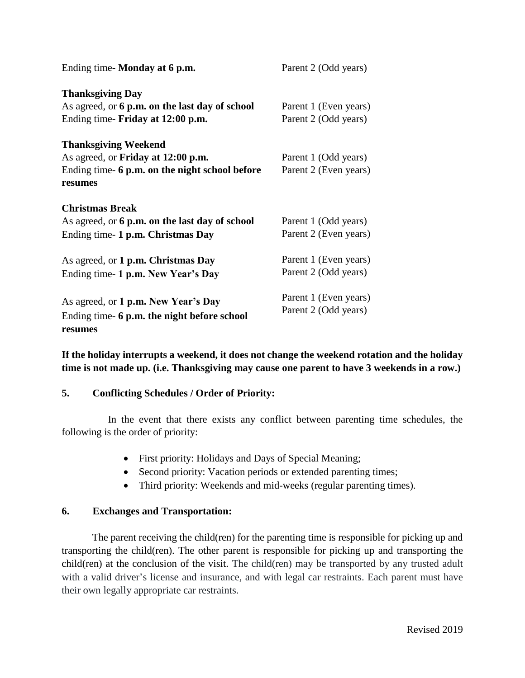| Ending time-Monday at 6 p.m.                   | Parent 2 (Odd years)  |
|------------------------------------------------|-----------------------|
| <b>Thanksgiving Day</b>                        |                       |
| As agreed, or 6 p.m. on the last day of school | Parent 1 (Even years) |
| Ending time- Friday at 12:00 p.m.              | Parent 2 (Odd years)  |
| <b>Thanksgiving Weekend</b>                    |                       |
| As agreed, or <b>Friday at 12:00 p.m.</b>      | Parent 1 (Odd years)  |
| Ending time- 6 p.m. on the night school before | Parent 2 (Even years) |
| resumes                                        |                       |
| <b>Christmas Break</b>                         |                       |
| As agreed, or 6 p.m. on the last day of school | Parent 1 (Odd years)  |
| Ending time- 1 p.m. Christmas Day              | Parent 2 (Even years) |
| As agreed, or 1 p.m. Christmas Day             | Parent 1 (Even years) |
| Ending time- 1 p.m. New Year's Day             | Parent 2 (Odd years)  |
| As agreed, or 1 p.m. New Year's Day            | Parent 1 (Even years) |
|                                                | Parent 2 (Odd years)  |
| Ending time- 6 p.m. the night before school    |                       |
| resumes                                        |                       |

**If the holiday interrupts a weekend, it does not change the weekend rotation and the holiday time is not made up. (i.e. Thanksgiving may cause one parent to have 3 weekends in a row.)**

# **5. Conflicting Schedules / Order of Priority:**

In the event that there exists any conflict between parenting time schedules, the following is the order of priority:

- First priority: Holidays and Days of Special Meaning;
- Second priority: Vacation periods or extended parenting times;
- Third priority: Weekends and mid-weeks (regular parenting times).

# **6. Exchanges and Transportation:**

The parent receiving the child(ren) for the parenting time is responsible for picking up and transporting the child(ren). The other parent is responsible for picking up and transporting the child(ren) at the conclusion of the visit. The child(ren) may be transported by any trusted adult with a valid driver's license and insurance, and with legal car restraints. Each parent must have their own legally appropriate car restraints.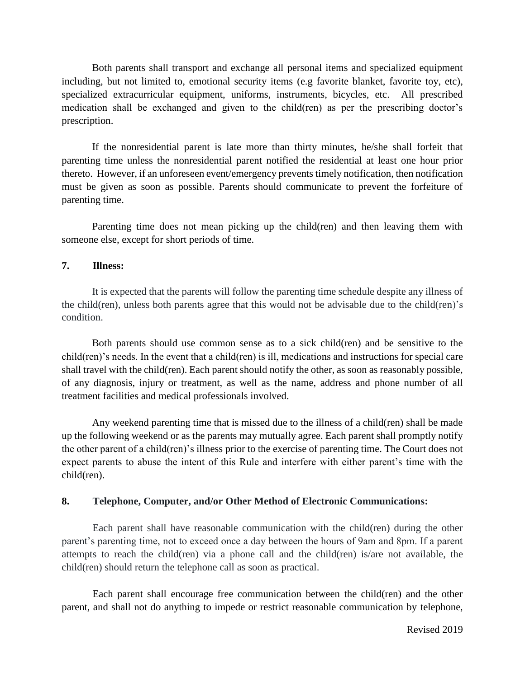Both parents shall transport and exchange all personal items and specialized equipment including, but not limited to, emotional security items (e.g favorite blanket, favorite toy, etc), specialized extracurricular equipment, uniforms, instruments, bicycles, etc. All prescribed medication shall be exchanged and given to the child(ren) as per the prescribing doctor's prescription.

If the nonresidential parent is late more than thirty minutes, he/she shall forfeit that parenting time unless the nonresidential parent notified the residential at least one hour prior thereto. However, if an unforeseen event/emergency prevents timely notification, then notification must be given as soon as possible. Parents should communicate to prevent the forfeiture of parenting time.

Parenting time does not mean picking up the child(ren) and then leaving them with someone else, except for short periods of time.

### **7. Illness:**

It is expected that the parents will follow the parenting time schedule despite any illness of the child(ren), unless both parents agree that this would not be advisable due to the child(ren)'s condition.

Both parents should use common sense as to a sick child(ren) and be sensitive to the child(ren)'s needs. In the event that a child(ren) is ill, medications and instructions for special care shall travel with the child(ren). Each parent should notify the other, as soon as reasonably possible, of any diagnosis, injury or treatment, as well as the name, address and phone number of all treatment facilities and medical professionals involved.

Any weekend parenting time that is missed due to the illness of a child(ren) shall be made up the following weekend or as the parents may mutually agree. Each parent shall promptly notify the other parent of a child(ren)'s illness prior to the exercise of parenting time. The Court does not expect parents to abuse the intent of this Rule and interfere with either parent's time with the child(ren).

# **8. Telephone, Computer, and/or Other Method of Electronic Communications:**

Each parent shall have reasonable communication with the child(ren) during the other parent's parenting time, not to exceed once a day between the hours of 9am and 8pm. If a parent attempts to reach the child(ren) via a phone call and the child(ren) is/are not available, the child(ren) should return the telephone call as soon as practical.

Each parent shall encourage free communication between the child(ren) and the other parent, and shall not do anything to impede or restrict reasonable communication by telephone,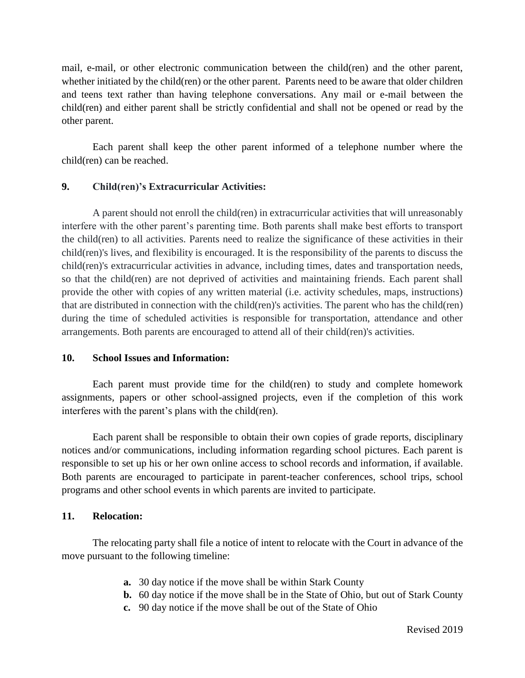mail, e-mail, or other electronic communication between the child(ren) and the other parent, whether initiated by the child(ren) or the other parent. Parents need to be aware that older children and teens text rather than having telephone conversations. Any mail or e-mail between the child(ren) and either parent shall be strictly confidential and shall not be opened or read by the other parent.

Each parent shall keep the other parent informed of a telephone number where the child(ren) can be reached.

# **9. Child(ren)'s Extracurricular Activities:**

A parent should not enroll the child(ren) in extracurricular activities that will unreasonably interfere with the other parent's parenting time. Both parents shall make best efforts to transport the child(ren) to all activities. Parents need to realize the significance of these activities in their child(ren)'s lives, and flexibility is encouraged. It is the responsibility of the parents to discuss the child(ren)'s extracurricular activities in advance, including times, dates and transportation needs, so that the child(ren) are not deprived of activities and maintaining friends. Each parent shall provide the other with copies of any written material (i.e. activity schedules, maps, instructions) that are distributed in connection with the child(ren)'s activities. The parent who has the child(ren) during the time of scheduled activities is responsible for transportation, attendance and other arrangements. Both parents are encouraged to attend all of their child(ren)'s activities.

# **10. School Issues and Information:**

Each parent must provide time for the child(ren) to study and complete homework assignments, papers or other school-assigned projects, even if the completion of this work interferes with the parent's plans with the child(ren).

Each parent shall be responsible to obtain their own copies of grade reports, disciplinary notices and/or communications, including information regarding school pictures. Each parent is responsible to set up his or her own online access to school records and information, if available. Both parents are encouraged to participate in parent-teacher conferences, school trips, school programs and other school events in which parents are invited to participate.

# **11. Relocation:**

The relocating party shall file a notice of intent to relocate with the Court in advance of the move pursuant to the following timeline:

- **a.** 30 day notice if the move shall be within Stark County
- **b.** 60 day notice if the move shall be in the State of Ohio, but out of Stark County
- **c.** 90 day notice if the move shall be out of the State of Ohio